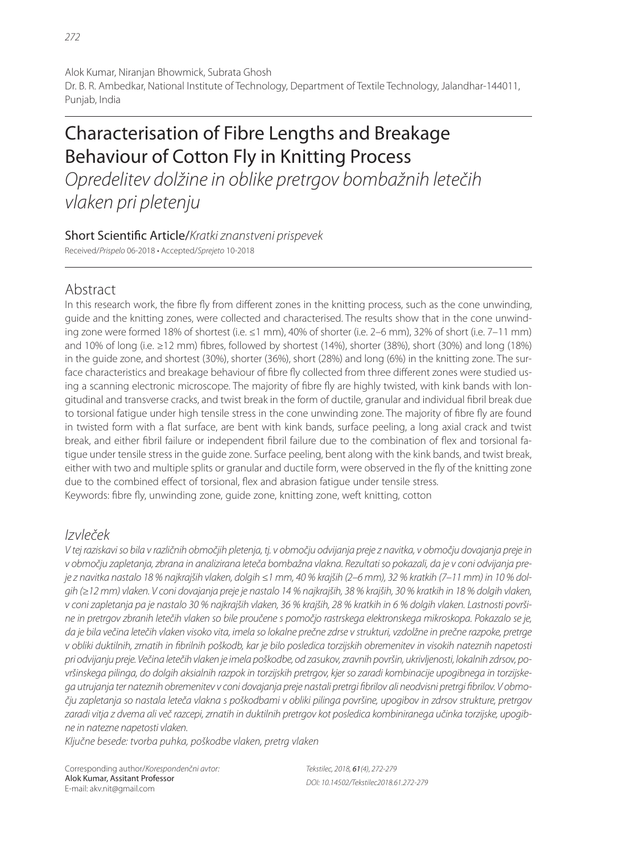Alok Kumar, Niranjan Bhowmick, Subrata Ghosh Dr. B. R. Ambedkar, National Institute of Technology, Department of Textile Technology, Jalandhar-144011, Punjab, India

# Characterisation of Fibre Lengths and Breakage Behaviour of Cotton Fly in Knitting Process

Opredelitev dolžine in oblike pretrgov bombažnih letečih vlaken pri pletenju

## Short Scientific Article/Kratki znanstveni prispevek

Received/Prispelo 06-2018 • Accepted/Sprejeto 10-2018

# Abstract

In this research work, the fibre fly from different zones in the knitting process, such as the cone unwinding, guide and the knitting zones, were collected and characterised. The results show that in the cone unwinding zone were formed 18% of shortest (i.e. ≤1 mm), 40% of shorter (i.e. 2–6 mm), 32% of short (i.e. 7–11 mm) and 10% of long (i.e.  $\geq$  12 mm) fibres, followed by shortest (14%), shorter (38%), short (30%) and long (18%) in the guide zone, and shortest (30%), shorter (36%), short (28%) and long (6%) in the knitting zone. The surface characteristics and breakage behaviour of fibre fly collected from three different zones were studied using a scanning electronic microscope. The majority of fibre fly are highly twisted, with kink bands with longitudinal and transverse cracks, and twist break in the form of ductile, granular and individual fibril break due to torsional fatigue under high tensile stress in the cone unwinding zone. The majority of fibre fly are found in twisted form with a flat surface, are bent with kink bands, surface peeling, a long axial crack and twist break, and either fibril failure or independent fibril failure due to the combination of flex and torsional fatigue under tensile stress in the guide zone. Surface peeling, bent along with the kink bands, and twist break, either with two and multiple splits or granular and ductile form, were observed in the fly of the knitting zone due to the combined effect of torsional, flex and abrasion fatique under tensile stress. Keywords: fibre fly, unwinding zone, guide zone, knitting zone, weft knitting, cotton

# Izvleček

V tej raziskavi so bila v različnih območjih pletenja, tj. v območju odvijanja preje z navitka, v območju dovajanja preje in v območju zapletanja, zbrana in analizirana leteča bombažna vlakna. Rezultati so pokazali, da je v coni odvijanja preje z navitka nastalo 18 % najkrajših vlaken, dolgih ≤1 mm, 40 % krajših (2–6 mm), 32 % kratkih (7–11 mm) in 10 % dolgih (≥12 mm) vlaken. V coni dovajanja preje je nastalo 14 % najkrajših, 38 % krajših, 30 % kratkih in 18 % dolgih vlaken, v coni zapletanja pa je nastalo 30 % najkrajših vlaken, 36 % krajših, 28 % kratkih in 6 % dolgih vlaken. Lastnosti površine in pretrgov zbranih letečih vlaken so bile proučene s pomočjo rastrskega elektronskega mikroskopa. Pokazalo se je, da je bila večina letečih vlaken visoko vita, imela so lokalne prečne zdrse v strukturi, vzdolžne in prečne razpoke, pretrge v obliki duktilnih, zrnatih in fibrilnih poškodb, kar je bilo posledica torzijskih obremenitev in visokih nateznih napetosti pri odvijanju preje. Večina letečih vlaken je imela poškodbe, od zasukov, zravnih površin, ukrivljenosti, lokalnih zdrsov, površinskega pilinga, do dolgih aksialnih razpok in torzijskih pretrgov, kjer so zaradi kombinacije upogibnega in torzijskega utrujanja ter nateznih obremenitev v coni dovajanja preje nastali pretrgi fibrilov ali neodvisni pretrgi fibrilov. V območju zapletanja so nastala leteča vlakna s poškodbami v obliki pilinga površine, upogibov in zdrsov strukture, pretrgov zaradi vitja z dvema ali več razcepi, zrnatih in duktilnih pretrgov kot posledica kombiniranega učinka torzijske, upogibne in natezne napetosti vlaken.

Ključne besede: tvorba puhka, poškodbe vlaken, pretrg vlaken

Corresponding author/Korespondenčni avtor: Alok Kumar, Assitant Professor E-mail: akv.nit@gmail.com

Tekstilec, 2018, 61(4), 272-279 DOI: 10.14502/Tekstilec2018.61.272-279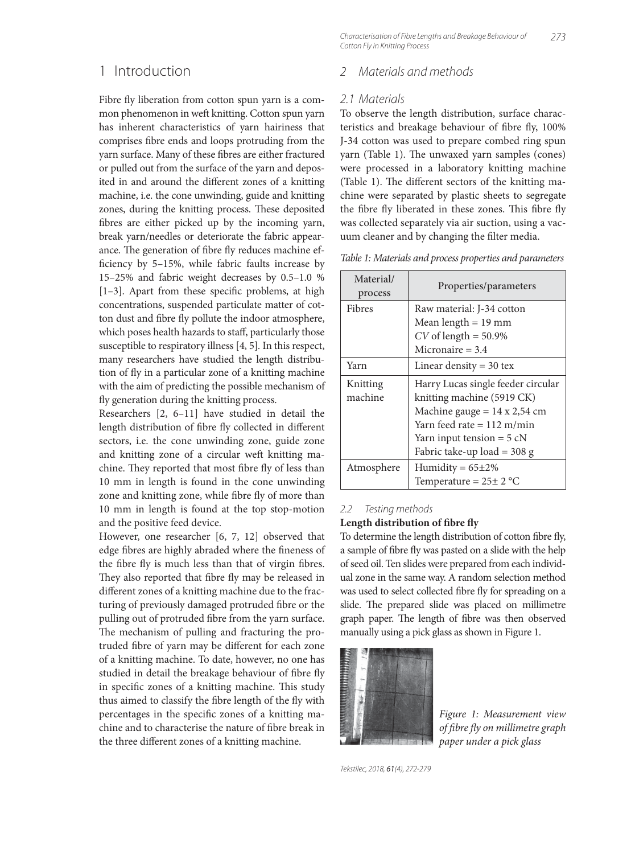### 1 Introduction

Fibre fly liberation from cotton spun yarn is a common phenomenon in weft knitting. Cotton spun yarn has inherent characteristics of yarn hairiness that comprises fibre ends and loops protruding from the yarn surface. Many of these fibres are either fractured or pulled out from the surface of the yarn and deposited in and around the different zones of a knitting machine, i.e. the cone unwinding, guide and knitting zones, during the knitting process. These deposited fibres are either picked up by the incoming yarn, break yarn/needles or deteriorate the fabric appearance. The generation of fibre fly reduces machine efficiency by 5-15%, while fabric faults increase by 15–25% and fabric weight decreases by 0.5–1.0 %  $[1-3]$ . Apart from these specific problems, at high concentrations, suspended particulate matter of cotton dust and fibre fly pollute the indoor atmosphere, which poses health hazards to staff, particularly those susceptible to respiratory illness [4, 5]*.* In this respect, many researchers have studied the length distribution of fly in a particular zone of a knitting machine with the aim of predicting the possible mechanism of fly generation during the knitting process.

Researchers [2, 6–11] have studied in detail the length distribution of fibre fly collected in different sectors, i.e. the cone unwinding zone, guide zone and knitting zone of a circular weft knitting machine. They reported that most fibre fly of less than 10 mm in length is found in the cone unwinding zone and knitting zone, while fibre fly of more than 10 mm in length is found at the top stop-motion and the positive feed device.

However, one researcher [6, 7, 12] observed that edge fibres are highly abraded where the fineness of the fibre fly is much less than that of virgin fibres. They also reported that fibre fly may be released in different zones of a knitting machine due to the fracturing of previously damaged protruded fibre or the pulling out of protruded fibre from the yarn surface. The mechanism of pulling and fracturing the protruded fibre of yarn may be different for each zone of a knitting machine. To date, however, no one has studied in detail the breakage behaviour of fibre fly in specific zones of a knitting machine. This study thus aimed to classify the fibre length of the fly with percentages in the specific zones of a knitting machine and to characterise the nature of fibre break in the three different zones of a knitting machine.

273 Characterisation of Fibre Lengths and Breakage Behaviour of Cotton Fly in Knitting Process

### 2 Materials and methods

#### 2.1 Materials

To observe the length distribution, surface characteristics and breakage behaviour of fibre fly, 100% J-34 cotton was used to prepare combed ring spun yarn (Table 1). The unwaxed yarn samples (cones) were processed in a laboratory knitting machine (Table 1). The different sectors of the knitting machine were separated by plastic sheets to segregate the fibre fly liberated in these zones. This fibre fly was collected separately via air suction, using a vacuum cleaner and by changing the filter media.

| Material/<br>process | Properties/parameters               |  |  |
|----------------------|-------------------------------------|--|--|
| Fibres               | Raw material: J-34 cotton           |  |  |
|                      | Mean length $= 19$ mm               |  |  |
|                      | $CV$ of length = 50.9%              |  |  |
|                      | Micronaire $=$ 3.4                  |  |  |
| Yarn                 | Linear density $=$ 30 tex           |  |  |
| Knitting             | Harry Lucas single feeder circular  |  |  |
| machine              | knitting machine (5919 CK)          |  |  |
|                      | Machine gauge = $14 \times 2,54$ cm |  |  |
|                      | Yarn feed rate $= 112$ m/min        |  |  |
|                      | Yarn input tension = $5 cN$         |  |  |
|                      | Fabric take-up load $=$ 308 g       |  |  |
| Atmosphere           | Humidity = $65\pm2\%$               |  |  |
|                      | Temperature = $25 \pm 2$ °C         |  |  |

#### 2.2 Testing methods

#### Length distribution of fibre fly

To determine the length distribution of cotton fibre fly, a sample of fibre fly was pasted on a slide with the help of seed oil. Ten slides were prepared from each individual zone in the same way. A random selection method was used to select collected fibre fly for spreading on a slide. The prepared slide was placed on millimetre graph paper. The length of fibre was then observed manually using a pick glass as shown in Figure 1.



*Figure 1: Measurement view of fi bre fl y on millimetre graph paper under a pick glass*

Tekstilec, 2018, 61(4), 272-279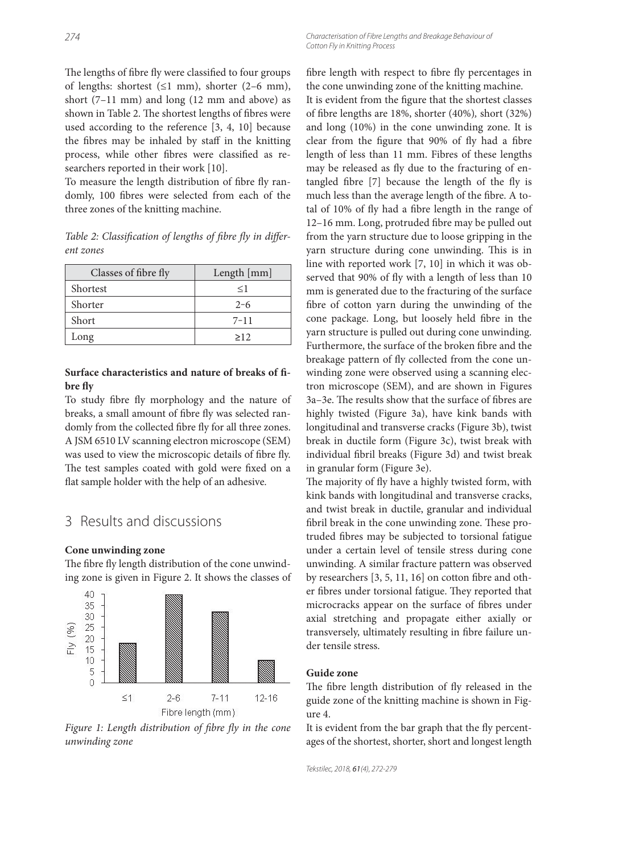The lengths of fibre fly were classified to four groups of lengths: shortest  $(\leq 1$  mm), shorter  $(2-6$  mm), short (7–11 mm) and long (12 mm and above) as shown in Table 2. The shortest lengths of fibres were used according to the reference [3, 4, 10] because the fibres may be inhaled by staff in the knitting process, while other fibres were classified as researchers reported in their work [10].

To measure the length distribution of fibre fly randomly, 100 fibres were selected from each of the three zones of the knitting machine.

|           | Table 2: Classification of lengths of fibre fly in differ- |  |  |
|-----------|------------------------------------------------------------|--|--|
| ent zones |                                                            |  |  |

| Classes of fibre fly | Length [mm] |  |  |
|----------------------|-------------|--|--|
| Shortest             | $\leq$ 1    |  |  |
| Shorter              | $2 - 6$     |  |  |
| Short                | $7 - 11$    |  |  |
| Long                 | >12         |  |  |

### Surface characteristics and nature of breaks of fi**bre fly**

To study fibre fly morphology and the nature of breaks, a small amount of fibre fly was selected randomly from the collected fibre fly for all three zones. A JSM 6510 LV scanning electron microscope (SEM) was used to view the microscopic details of fibre fly. The test samples coated with gold were fixed on a flat sample holder with the help of an adhesive.

## 3 Results and discussions

#### **Cone unwinding zone**

The fibre fly length distribution of the cone unwinding zone is given in Figure 2. It shows the classes of



Figure 1: Length distribution of fibre fly in the cone *unwinding zone*

fibre length with respect to fibre fly percentages in the cone unwinding zone of the knitting machine. It is evident from the figure that the shortest classes of fibre lengths are 18%, shorter (40%), short (32%) and long (10%) in the cone unwinding zone. It is clear from the figure that 90% of fly had a fibre length of less than 11 mm. Fibres of these lengths may be released as fly due to the fracturing of entangled fibre  $[7]$  because the length of the fly is much less than the average length of the fibre. A total of 10% of fly had a fibre length in the range of 12-16 mm. Long, protruded fibre may be pulled out from the yarn structure due to loose gripping in the yarn structure during cone unwinding. This is in line with reported work [7, 10] in which it was observed that 90% of fly with a length of less than 10 mm is generated due to the fracturing of the surface fibre of cotton yarn during the unwinding of the cone package. Long, but loosely held fibre in the yarn structure is pulled out during cone unwinding. Furthermore, the surface of the broken fibre and the breakage pattern of fly collected from the cone unwinding zone were observed using a scanning electron microscope (SEM), and are shown in Figures 3a-3e. The results show that the surface of fibres are highly twisted (Figure 3a), have kink bands with longitudinal and transverse cracks (Figure 3b), twist break in ductile form (Figure 3c), twist break with individual fibril breaks (Figure 3d) and twist break in granular form (Figure 3e).

The majority of fly have a highly twisted form, with kink bands with longitudinal and transverse cracks, and twist break in ductile, granular and individual fibril break in the cone unwinding zone. These protruded fibres may be subjected to torsional fatigue under a certain level of tensile stress during cone unwinding. A similar fracture pattern was observed by researchers  $[3, 5, 11, 16]$  on cotton fibre and other fibres under torsional fatigue. They reported that microcracks appear on the surface of fibres under axial stretching and propagate either axially or transversely, ultimately resulting in fibre failure under tensile stress.

#### **Guide zone**

The fibre length distribution of fly released in the guide zone of the knitting machine is shown in Figure 4.

It is evident from the bar graph that the fly percentages of the shortest, shorter, short and longest length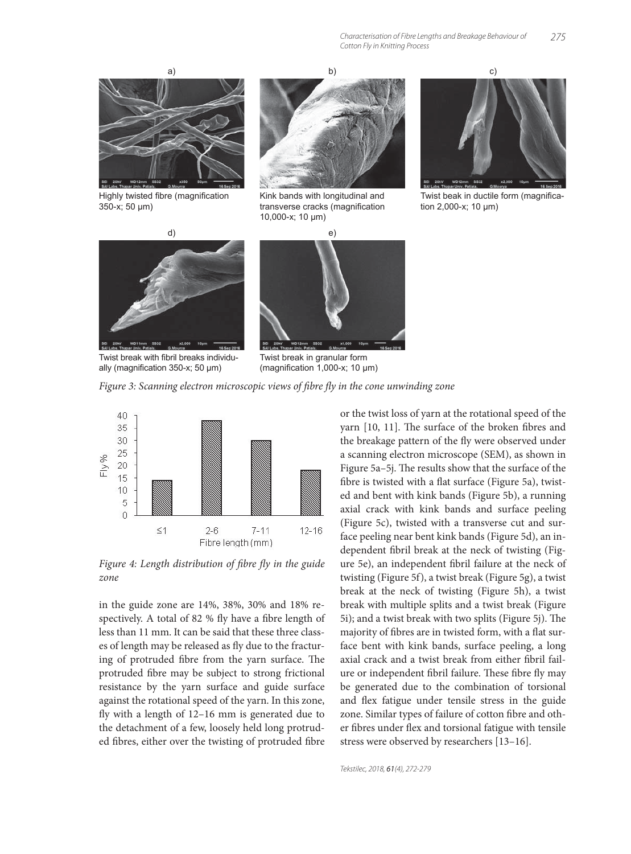

Highly twisted fibre (magnification 350-x; 50 μm)



Kink bands with longitudinal and transverse cracks (magnification 10,000-x; 10 μm)



Twist beak in ductile form (magnification 2,000-x; 10 μm)



Twist break with fibril breaks individually (magnification 350-x; 50 μm)



Twist break in granular form (magnification 1,000-x; 10  $\mu$ m)





Figure 4: Length distribution of fibre fly in the guide *zone*

in the guide zone are 14%, 38%, 30% and 18% respectively. A total of 82 % fly have a fibre length of less than 11 mm. It can be said that these three classes of length may be released as fly due to the fracturing of protruded fibre from the yarn surface. The protruded fibre may be subject to strong frictional resistance by the yarn surface and guide surface against the rotational speed of the yarn. In this zone, fly with a length of  $12-16$  mm is generated due to the detachment of a few, loosely held long protruded fibres, either over the twisting of protruded fibre or the twist loss of yarn at the rotational speed of the yarn [10, 11]. The surface of the broken fibres and the breakage pattern of the fly were observed under a scanning electron microscope (SEM), as shown in Figure 5a-5j. The results show that the surface of the fibre is twisted with a flat surface (Figure 5a), twisted and bent with kink bands (Figure 5b), a running axial crack with kink bands and surface peeling (Figure 5c), twisted with a transverse cut and surface peeling near bent kink bands (Figure 5d), an independent fibril break at the neck of twisting (Figure 5e), an independent fibril failure at the neck of twisting (Figure 5f), a twist break (Figure 5g), a twist break at the neck of twisting (Figure 5h), a twist break with multiple splits and a twist break (Figure 5i); and a twist break with two splits (Figure 5j). The majority of fibres are in twisted form, with a flat surface bent with kink bands, surface peeling, a long axial crack and a twist break from either fibril failure or independent fibril failure. These fibre fly may be generated due to the combination of torsional and flex fatigue under tensile stress in the guide zone. Similar types of failure of cotton fibre and other fibres under flex and torsional fatigue with tensile stress were observed by researchers [13–16].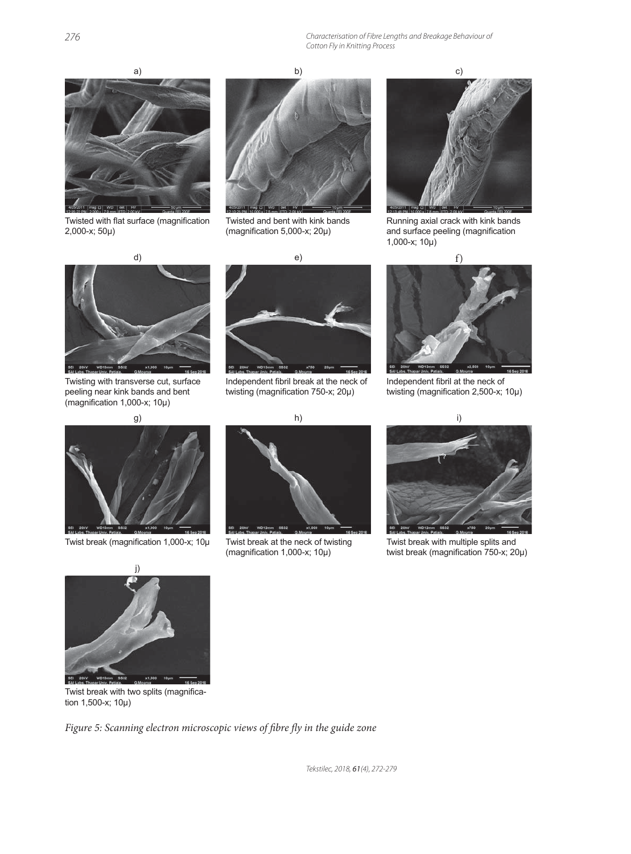

Twisted with flat surface (magnification 2,000-x; 50μ)



Twisted and bent with kink bands (magnification  $5,000-x$ ;  $20\mu$ )



Running axial crack with kink bands and surface peeling (magnification 1,000-x; 10μ)



Twisting with transverse cut, surface peeling near kink bands and bent (magnification 1,000-x; 10μ)



Independent fibril break at the neck of twisting (magnification 750-x; 20μ)



Independent fibril at the neck of twisting (magnification 2,500-x; 10μ)





Twist break (magnification 1,000-x; 10μ Twist break at the neck of twisting (magnification  $1,000-x$ ;  $10\mu$ )



Twist break with multiple splits and twist break (magnification  $750-x$ ;  $20\mu$ )



Twist break with two splits (magnification 1,500-x; 10μ)

Figure 5: Scanning electron microscopic views of fibre fly in the guide zone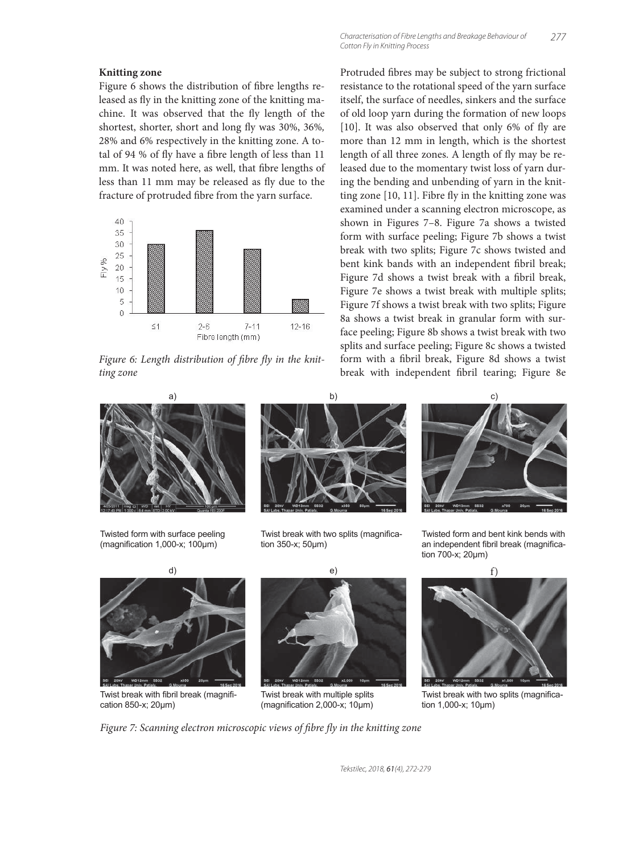#### **Knitting zone**

Figure 6 shows the distribution of fibre lengths released as fly in the knitting zone of the knitting machine. It was observed that the fly length of the shortest, shorter, short and long fly was 30%, 36%, 28% and 6% respectively in the knitting zone. A total of 94 % of fly have a fibre length of less than 11 mm. It was noted here, as well, that fibre lengths of less than 11 mm may be released as fly due to the fracture of protruded fibre from the yarn surface.



Figure 6: Length distribution of fibre fly in the knit*ting zone*



Twisted form with surface peeling  $(magnitudeation 1,000-x; 100µm)$ 





Twist break with two splits (magnification 350-x; 50μm)

Protruded fibres may be subject to strong frictional resistance to the rotational speed of the yarn surface itself, the surface of needles, sinkers and the surface of old loop yarn during the formation of new loops  $[10]$ . It was also observed that only 6% of fly are more than 12 mm in length, which is the shortest length of all three zones. A length of fly may be released due to the momentary twist loss of yarn during the bending and unbending of yarn in the knitting zone  $[10, 11]$ . Fibre fly in the knitting zone was examined under a scanning electron microscope, as shown in Figures 7–8. Figure 7a shows a twisted form with surface peeling; Figure 7b shows a twist break with two splits; Figure 7c shows twisted and bent kink bands with an independent fibril break; Figure 7d shows a twist break with a fibril break, Figure 7e shows a twist break with multiple splits; Figure 7f shows a twist break with two splits; Figure 8a shows a twist break in granular form with surface peeling; Figure 8b shows a twist break with two splits and surface peeling; Figure 8c shows a twisted form with a fibril break, Figure 8d shows a twist break with independent fibril tearing; Figure 8e





Twisted form and bent kink bends with an independent fibril break (magnification 700-x; 20μm)



Twist break with two splits (magnification 1,000-x; 10μm)

Twist break with fibril break (magnification 850-x; 20μm)



Twist break with multiple splits (magnification  $2,000-x$ ; 10 $\mu$ m)

*Figure 7: Scanning electron microscopic views of fibre fly in the knitting zone*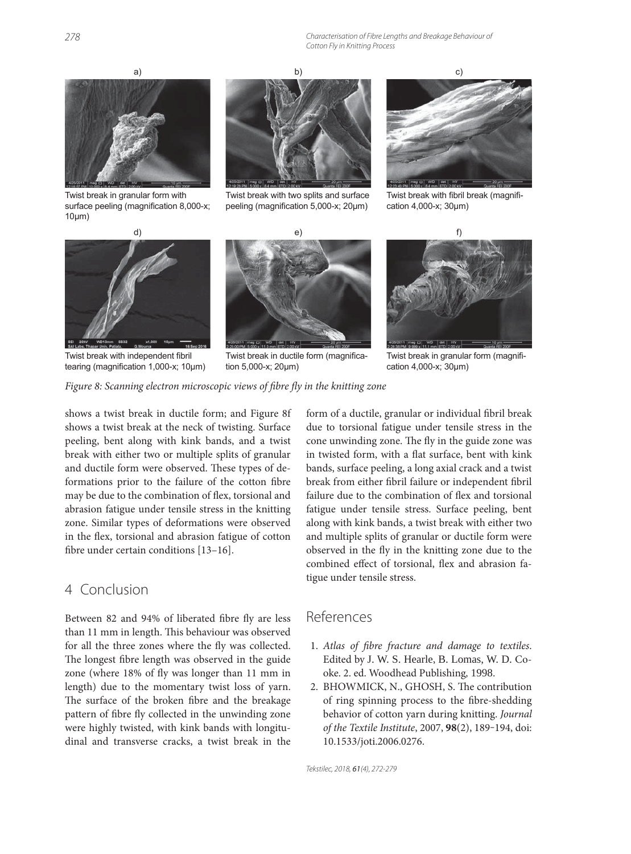

Twist break in granular form with surface peeling (magnification 8,000-x; 10μm)



Twist break with two splits and surface peeling (magnification 5,000-x; 20μm)



Twist break with fibril break (magnification 4,000-x; 30μm)



Twist break with independent fibril tearing (magnification 1,000-x; 10μm)



Twist break in ductile form (magnification 5,000-x; 20μm)



Twist break in granular form (magnification 4,000-x; 30μm)

#### *Figure 8: Scanning electron microscopic views of fibre fly in the knitting zone*

shows a twist break in ductile form; and Figure 8f shows a twist break at the neck of twisting. Surface peeling, bent along with kink bands, and a twist break with either two or multiple splits of granular and ductile form were observed. These types of deformations prior to the failure of the cotton fibre may be due to the combination of flex, torsional and abrasion fatigue under tensile stress in the knitting zone. Similar types of deformations were observed in the flex, torsional and abrasion fatigue of cotton fibre under certain conditions  $[13-16]$ .

### 4 Conclusion

Between 82 and 94% of liberated fibre fly are less than 11 mm in length. This behaviour was observed for all the three zones where the fly was collected. The longest fibre length was observed in the guide zone (where 18% of fly was longer than 11 mm in length) due to the momentary twist loss of yarn. The surface of the broken fibre and the breakage pattern of fibre fly collected in the unwinding zone were highly twisted, with kink bands with longitudinal and transverse cracks, a twist break in the

form of a ductile, granular or individual fibril break due to torsional fatigue under tensile stress in the cone unwinding zone. The fly in the guide zone was in twisted form, with a flat surface, bent with kink bands, surface peeling, a long axial crack and a twist break from either fibril failure or independent fibril failure due to the combination of flex and torsional fatigue under tensile stress. Surface peeling, bent along with kink bands, a twist break with either two and multiple splits of granular or ductile form were observed in the fly in the knitting zone due to the combined effect of torsional, flex and abrasion fatigue under tensile stress.

### References

- 1. Atlas of fibre fracture and damage to textiles. Edited by J. W. S. Hearle, B. Lomas, W. D. Cooke. 2. ed. Woodhead Publishing*,* 1998.
- 2. BHOWMICK, N., GHOSH, S. The contribution of ring spinning process to the fibre-shedding behavior of cotton yarn during knitting. *Journal of the Textile Institute*, 2007, **98**(2), 189‒194, doi: 10.1533/joti.2006.0276.

Tekstilec, 2018, 61(4), 272-279